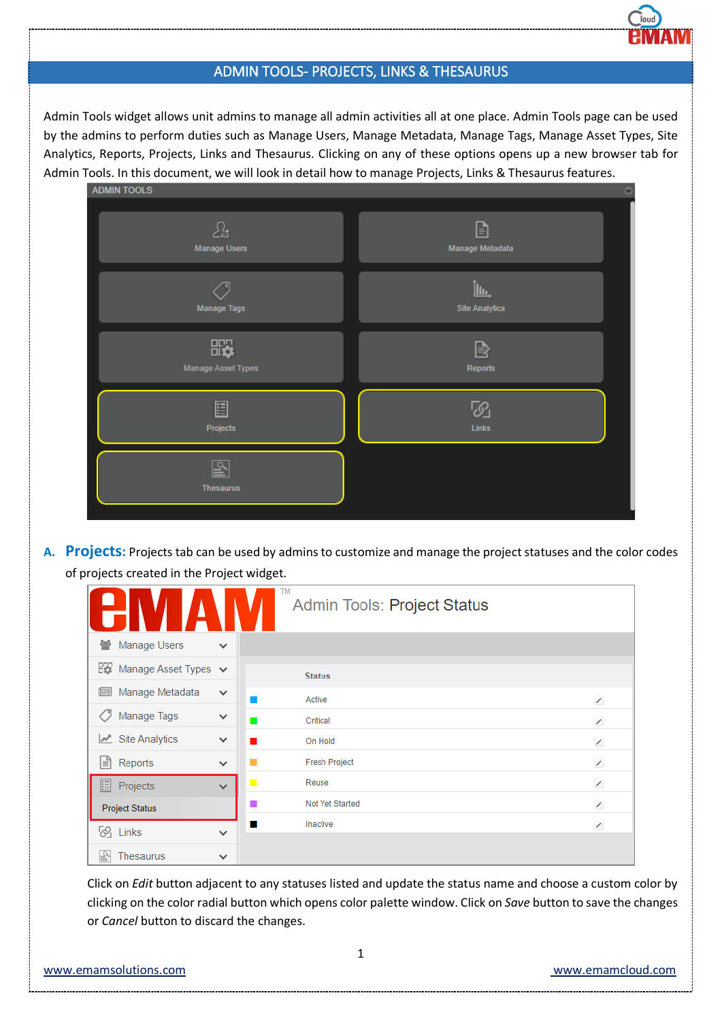## ADMIN TOOLS- PROJECTS, LINKS & THESAURUS

Admin Tools widget allows unit admins to manage all admin activities all at one place. Admin Tools page can be used by the admins to perform duties such as Manage Users, Manage Metadata, Manage Tags, Manage Asset Types, Site Analytics, Reports, Projects, Links and Thesaurus. Clicking on any of these options opens up a new browser tab for Admin Tools. In this document, we will look in detail how to manage Projects, Links & Thesaurus features.

| <b>ADMIN TOOLS</b>                   | c                                    |
|--------------------------------------|--------------------------------------|
| $\mathcal{E}_2$                      | B                                    |
| <b>Manage Users</b>                  | Manage Metadata                      |
| Manage Tags                          | <u>Îlu.</u><br><b>Site Analytics</b> |
| ₩,                                   | $\mathbb B$                          |
| Manage Asset Types                   | Reports                              |
| 圄                                    | ි                                    |
| Projects                             | $_{\text{Links}}$                    |
| $\overline{\mathbb{P}}$<br>Thesaurus |                                      |

**A. Projects:** Projects tab can be used by admins to customize and manage the project statuses and the color codes of projects created in the Project widget.

|                                |              | TM<br>Admin Tools: Project Status |                          |
|--------------------------------|--------------|-----------------------------------|--------------------------|
| Manage Users<br>쑫              | $\checkmark$ |                                   |                          |
| 많<br>Manage Asset Types $\vee$ |              | <b>Status</b>                     |                          |
| Manage Metadata<br>但           | $\checkmark$ | Active                            | $\overline{\phantom{a}}$ |
| Manage Tags                    | $\checkmark$ | Critical<br>$\mathbf{r}$          | $\overline{\phantom{a}}$ |
| $\mathbb{Z}$ Site Analytics    | $\checkmark$ | On Hold                           | $\overline{\phantom{a}}$ |
| 闫<br>Reports                   | $\checkmark$ | <b>Fresh Project</b>              | $\overline{\phantom{a}}$ |
| 囯<br>Projects                  | $\checkmark$ | Reuse                             | $\overline{\phantom{a}}$ |
| <b>Project Status</b>          |              | Not Yet Started                   | $\overline{\phantom{a}}$ |
| $\oslash$ Links                | $\checkmark$ | Inactive<br>ш                     | $\overline{\phantom{a}}$ |
| <b>Thesaurus</b><br>官          | $\checkmark$ |                                   |                          |

Click on *Edit* button adjacent to any statuses listed and update the status name and choose a custom color by clicking on the color radial button which opens color palette window. Click on *Save* button to save the changes or *Cancel* button to discard the changes.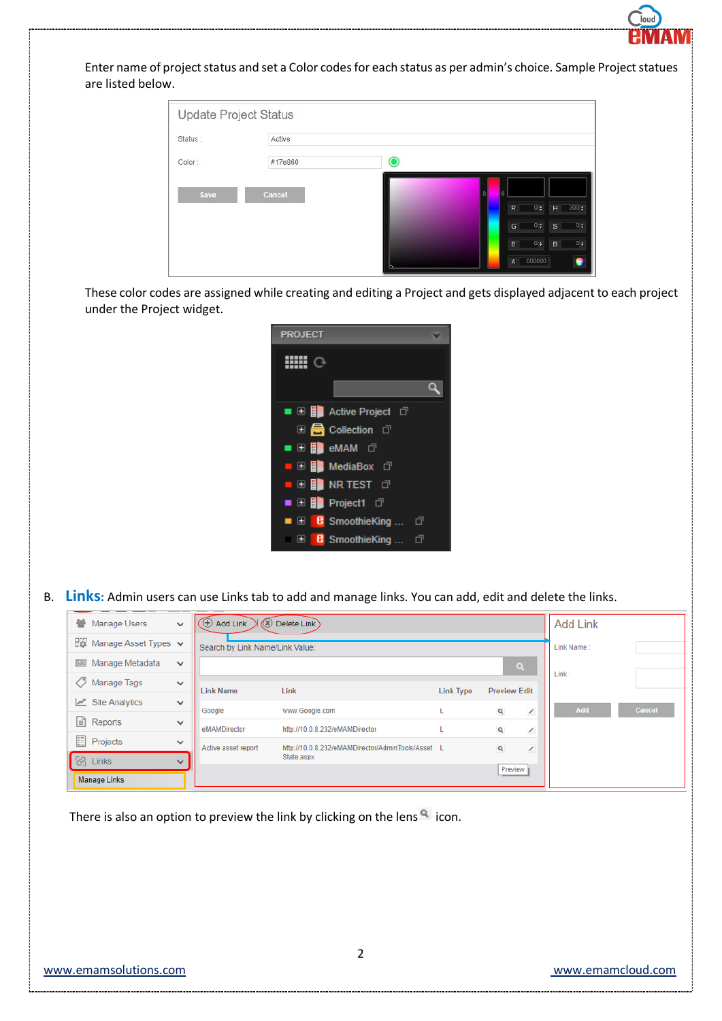

Enter name of project status and set a Color codes for each status as per admin's choice. Sample Project statues are listed below.

|         | <b>Update Project Status</b> |                           |                |
|---------|------------------------------|---------------------------|----------------|
| Status: | Active                       |                           |                |
| Color:  | #17e860                      | O                         |                |
| Save    | Cancel                       | 0:<br>$H = 300 \div$<br>R |                |
|         |                              | 0 <sub>z</sub><br>G<br>s. | $0 \div$       |
|         |                              | 0 <sub>z</sub><br>B<br>B  | 0 <sub>z</sub> |
|         |                              | # 000000                  |                |

These color codes are assigned while creating and editing a Project and gets displayed adjacent to each project under the Project widget.



B. **Links:** Admin users can use Links tab to add and manage links. You can add, edit and delete the links.

|                          | 警 Manage Users                           | $\checkmark$ | Add Link<br>Delete Link<br>$\bigoplus$<br>$\circledast$ |                                                   |                  |                     | <b>Add Link</b>          |            |               |
|--------------------------|------------------------------------------|--------------|---------------------------------------------------------|---------------------------------------------------|------------------|---------------------|--------------------------|------------|---------------|
|                          | $E_{\text{N}}$ Manage Asset Types $\vee$ |              | Search by Link Name/Link Value:                         |                                                   |                  |                     |                          | Link Name: |               |
|                          | ⊞<br>Manage Metadata                     | $\checkmark$ |                                                         |                                                   |                  | $\alpha$            |                          |            |               |
|                          | O<br>Manage Tags                         | $\checkmark$ | <b>Link Name</b>                                        | Link                                              | <b>Link Type</b> | <b>Preview Edit</b> |                          | Link:      |               |
|                          | $\mathbb{R}^n$ Site Analytics            | $\checkmark$ | Google                                                  | www.Google.com                                    |                  | $\mathsf q$         | $\overline{\phantom{a}}$ | Add        | <b>Cancel</b> |
|                          | $\equiv$ Reports                         | $\checkmark$ |                                                         |                                                   |                  |                     |                          |            |               |
|                          |                                          |              | eMAMDirector                                            | http://10.0.8.232/eMAMDirector                    |                  | $\mathsf{Q}$        | $\overline{\phantom{a}}$ |            |               |
|                          | $E$ Projects                             | $\checkmark$ | Active asset report                                     | http://10.0.8.232/eMAMDirector/AdminTools/Asset L |                  | $\mathsf{Q}$        | ∕                        |            |               |
| $\overline{\mathcal{O}}$ | Links                                    | $\checkmark$ |                                                         | State.aspx                                        |                  |                     |                          |            |               |
|                          | <b>Manage Links</b>                      |              |                                                         |                                                   |                  | Preview             |                          |            |               |

There is also an option to preview the link by clicking on the lens  $\alpha$  icon.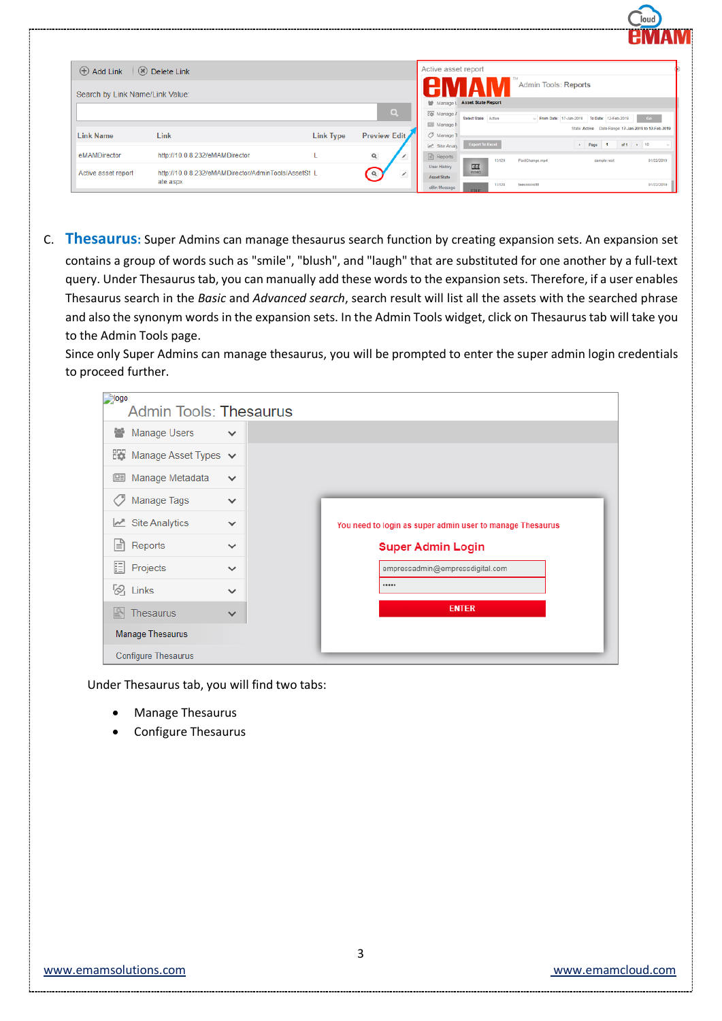|                                 |                                                     |                  |                          | .                                                                                                      |  |
|---------------------------------|-----------------------------------------------------|------------------|--------------------------|--------------------------------------------------------------------------------------------------------|--|
| $\oplus$ Add Link               | $\sqrt{8}$ Delete Link                              |                  |                          | Active asset report                                                                                    |  |
| Search by Link Name/Link Value: |                                                     |                  |                          | Admin Tools: Reports                                                                                   |  |
|                                 |                                                     |                  |                          | <b>Asset State Report</b><br>營 Manage I                                                                |  |
|                                 |                                                     |                  | $\alpha$                 | $22$ Manage $F$<br>Select State: Active<br>$\vee$ From Date: 17-Jan-2019<br>To Date: 12-Feb-2019<br>Go |  |
|                                 |                                                     |                  |                          | <b>EE Manage M</b><br>Date Range: 17-Jan-2019 to 12-Feb-2019<br>State: Active                          |  |
| <b>Link Name</b>                | Link                                                | <b>Link Type</b> | Preview Edit             | / Manage 1                                                                                             |  |
|                                 |                                                     |                  |                          | <b>Export To Excel</b><br>* Page 1 of 1 > 10<br>M Site Analy                                           |  |
| eMAMDirector                    | http://10.0.8.232/eMAMDirector                      |                  | $\mathsf q$              | $\Box$ Reports<br>01/22/2019<br>13129<br>PostChange.mp4<br>sample rest                                 |  |
| Active asset report             | http://10.0.8.232/eMAMDirector/AdminTools/AssetSt_L |                  | $\alpha$                 | 匝<br>User History<br>VIDEO                                                                             |  |
|                                 | ate.aspx                                            |                  | $\overline{\phantom{a}}$ | Asset State<br>13128                                                                                   |  |
|                                 |                                                     |                  |                          | 01/22/2019<br>teesssssstiff<br>eBin Message<br><b>ETLE</b>                                             |  |

C. **Thesaurus:** Super Admins can manage thesaurus search function by creating expansion sets. An expansion set contains a group of words such as "smile", "blush", and "laugh" that are substituted for one another by a full-text query. Under Thesaurus tab, you can manually add these words to the expansion sets. Therefore, if a user enables Thesaurus search in the *Basic* and *Advanced search*, search result will list all the assets with the searched phrase and also the synonym words in the expansion sets. In the Admin Tools widget, click on Thesaurus tab will take you to the Admin Tools page.

Since only Super Admins can manage thesaurus, you will be prompted to enter the super admin login credentials to proceed further.

| <b>Riogo</b><br><b>Admin Tools: Thesaurus</b> |              |                                                           |
|-----------------------------------------------|--------------|-----------------------------------------------------------|
| ᆇ<br>Manage Users                             | $\checkmark$ |                                                           |
| 많<br>Manage Asset Types v                     |              |                                                           |
| 但<br>Manage Metadata                          | $\checkmark$ |                                                           |
| Manage Tags                                   | $\checkmark$ |                                                           |
| $\mathbb{Z}$ Site Analytics                   | $\checkmark$ | You need to login as super admin user to manage Thesaurus |
| ا≡ا<br>Reports                                | $\checkmark$ | <b>Super Admin Login</b>                                  |
| E<br>Projects                                 | $\checkmark$ | empressadmin@empressdigital.com                           |
| $\frac{1}{2}$ Links                           | $\checkmark$ |                                                           |
| Thesaurus                                     | $\checkmark$ | <b>ENTER</b>                                              |
| <b>Manage Thesaurus</b>                       |              |                                                           |
| <b>Configure Thesaurus</b>                    |              |                                                           |

Under Thesaurus tab, you will find two tabs:

- Manage Thesaurus
- Configure Thesaurus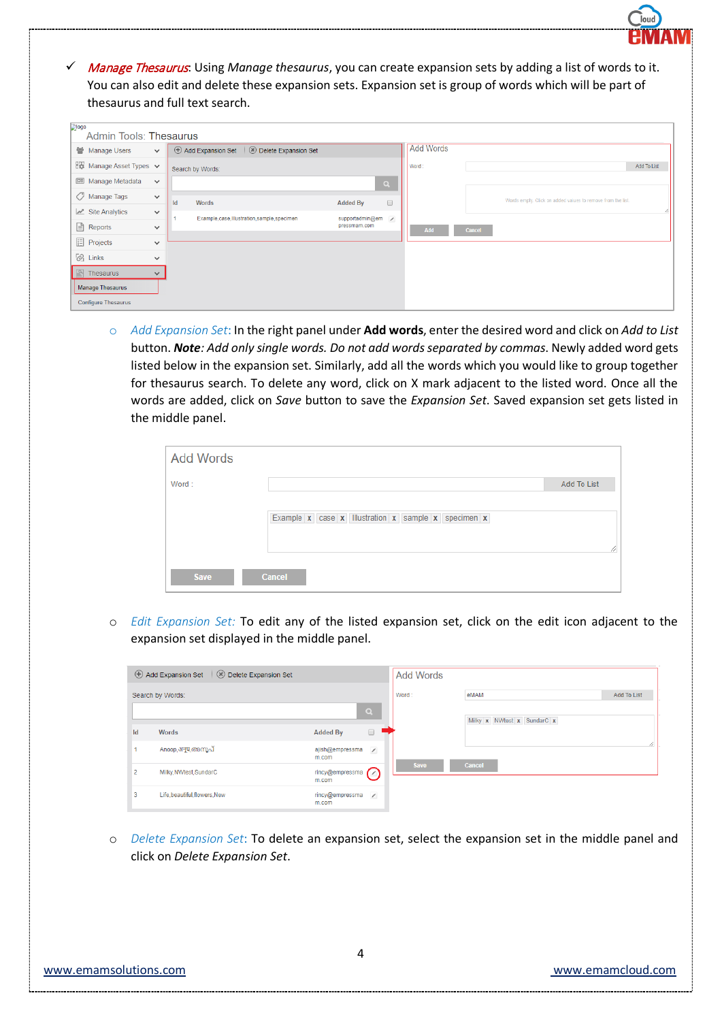Manage Thesaurus: Using *Manage thesaurus*, you can create expansion sets by adding a list of words to it. You can also edit and delete these expansion sets. Expansion set is group of words which will be part of thesaurus and full text search.

| <b>Plogo</b><br><b>Admin Tools: Thesaurus</b> |              |                                                      |                           |                  |                                                             |
|-----------------------------------------------|--------------|------------------------------------------------------|---------------------------|------------------|-------------------------------------------------------------|
| Manage Users                                  | $\checkmark$ | $\oplus$ Add Expansion Set<br>8 Delete Expansion Set |                           | <b>Add Words</b> |                                                             |
| <b>EX Manage Asset Types</b> $\vee$           |              | Search by Words:                                     |                           | Word:            | Add To List                                                 |
| <b>III</b> Manage Metadata                    | $\checkmark$ |                                                      | $\alpha$                  |                  |                                                             |
| Manage Tags                                   | $\checkmark$ | Words<br>Id                                          | $\Box$<br><b>Added By</b> |                  | Words empty. Click on added values to remove from the list. |
| $\mathbb{Z}^n$ Site Analytics                 | $\checkmark$ | Example, case, Illustration, sample, specimen        | supportadmin@em /         |                  |                                                             |
| e Reports                                     | $\checkmark$ |                                                      | pressmam.com              | Add              | Cancel                                                      |
| <b>E</b> Projects                             | $\checkmark$ |                                                      |                           |                  |                                                             |
| $\otimes$ Links                               | $\checkmark$ |                                                      |                           |                  |                                                             |
| $\boxed{\mathbb{R}}$ Thesaurus                | $\checkmark$ |                                                      |                           |                  |                                                             |
| <b>Manage Thesaurus</b>                       |              |                                                      |                           |                  |                                                             |
| <b>Configure Thesaurus</b>                    |              |                                                      |                           |                  |                                                             |

o *Add Expansion Set*: In the right panel under **Add words**, enter the desired word and click on *Add to List* button. *Note: Add only single words. Do not add words separated by commas*. Newly added word gets listed below in the expansion set. Similarly, add all the words which you would like to group together for thesaurus search. To delete any word, click on X mark adjacent to the listed word. Once all the words are added, click on *Save* button to save the *Expansion Set*. Saved expansion set gets listed in the middle panel.

| <b>Add Words</b> |                                                     |                    |
|------------------|-----------------------------------------------------|--------------------|
| Word:            |                                                     | <b>Add To List</b> |
|                  | Example x case x Illustration x sample x specimen x | 4                  |
| <b>Save</b>      | <b>Cancel</b>                                       |                    |

o *Edit Expansion Set:* To edit any of the listed expansion set, click on the edit icon adjacent to the expansion set displayed in the middle panel.

|    | Add Expansion Set \ \ \ Delete Expansion Set |                                                       | <b>Add Words</b> |                            |                    |
|----|----------------------------------------------|-------------------------------------------------------|------------------|----------------------------|--------------------|
|    | Search by Words:                             | $\alpha$                                              | Word:            | eMAM                       | <b>Add To List</b> |
| Id | Words                                        | $\Box$<br><b>Added By</b><br>$\overline{\phantom{a}}$ |                  | Milky x NWtest x SundarC x |                    |
|    | Anoop.अनुप.അനൂപ്                             | $\overline{\phantom{a}}$<br>ajish@empressma<br>m.com  |                  |                            | ħ                  |
| 2  | Milky, NWtest, SundarC                       | rincy@empressma<br>m.com                              | Save             | Cancel                     |                    |
| 3  | Life, beautiful, flowers, New                | rincy@empressma<br>$\overline{\phantom{a}}$<br>m.com  |                  |                            |                    |

o *Delete Expansion Set*: To delete an expansion set, select the expansion set in the middle panel and click on *Delete Expansion Set*.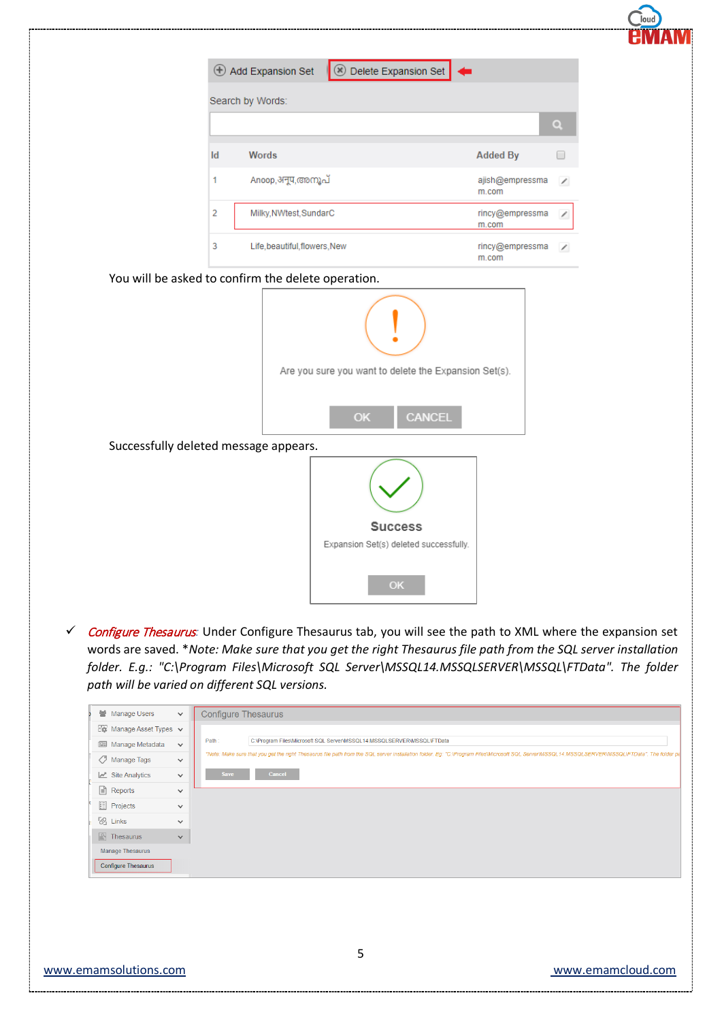|    | <b>Delete Expansion Set</b><br>$\bigoplus$ Add Expansion Set |                          |
|----|--------------------------------------------------------------|--------------------------|
|    | Search by Words:                                             |                          |
|    |                                                              |                          |
|    |                                                              | $\alpha$                 |
| Id | <b>Added By</b><br>Words                                     | $\Box$                   |
| 1  | Anoop,अनूप,അനൂപ്<br>ajish@empressma<br>m.com                 | $\overline{\phantom{a}}$ |
| 2  | Milky, NWtest, SundarC<br>rincy@empressma<br>m.com           | ∕                        |
| 3  | Life, beautiful, flowers, New<br>rincy@empressma<br>m.com    | $\overline{\phantom{a}}$ |
|    | You will be asked to confirm the delete operation.           |                          |
|    |                                                              |                          |
|    | Are you sure you want to delete the Expansion Set(s).        |                          |
|    | CANCEL<br>OK                                                 |                          |
|    | Successfully deleted message appears.                        |                          |
|    |                                                              |                          |
|    | <b>Success</b>                                               |                          |
|    | Expansion Set(s) deleted successfully.                       |                          |

 Configure Thesaurus*:* Under Configure Thesaurus tab, you will see the path to XML where the expansion set words are saved. \**Note: Make sure that you get the right Thesaurus file path from the SQL server installation folder. E.g.: "C:\Program Files\Microsoft SQL Server\MSSQL14.MSSQLSERVER\MSSQL\FTData". The folder path will be varied on different SQL versions.*

| <b>警</b> Manage Users                   | $\checkmark$ | <b>Configure Thesaurus</b>                                                                                                                                                                       |
|-----------------------------------------|--------------|--------------------------------------------------------------------------------------------------------------------------------------------------------------------------------------------------|
| $E_{\bullet}$ Manage Asset Types $\vee$ |              |                                                                                                                                                                                                  |
| <b>图 Manage Metadata</b>                | $\checkmark$ | Path:<br>C:\Program Files\Microsoft SQL Server\MSSQL14.MSSQLSERVER\MSSQL\FTData                                                                                                                  |
| Manage Tags                             | $\checkmark$ | *Note: Make sure that you get the right Thesaurus file path from the SQL server installation folder. Eq: "C:\Program Files\Microsoft SQL Server\MSSQL14.MSSQLSERVER\MSSQLIFTData". The folder pa |
| $\mathbb{Z}$ Site Analytics             | $\checkmark$ | <b>Save</b><br><b>Cancel</b>                                                                                                                                                                     |
| <b>A</b> Reports                        | $\checkmark$ |                                                                                                                                                                                                  |
| <b>E</b> Projects                       | $\checkmark$ |                                                                                                                                                                                                  |
| $\sqrt[n]{\mathcal{O}}$ Links           | $\checkmark$ |                                                                                                                                                                                                  |
| $\mathbb{R}$ Thesaurus                  | $\checkmark$ |                                                                                                                                                                                                  |
| <b>Manage Thesaurus</b>                 |              |                                                                                                                                                                                                  |
| <b>Configure Thesaurus</b>              |              |                                                                                                                                                                                                  |